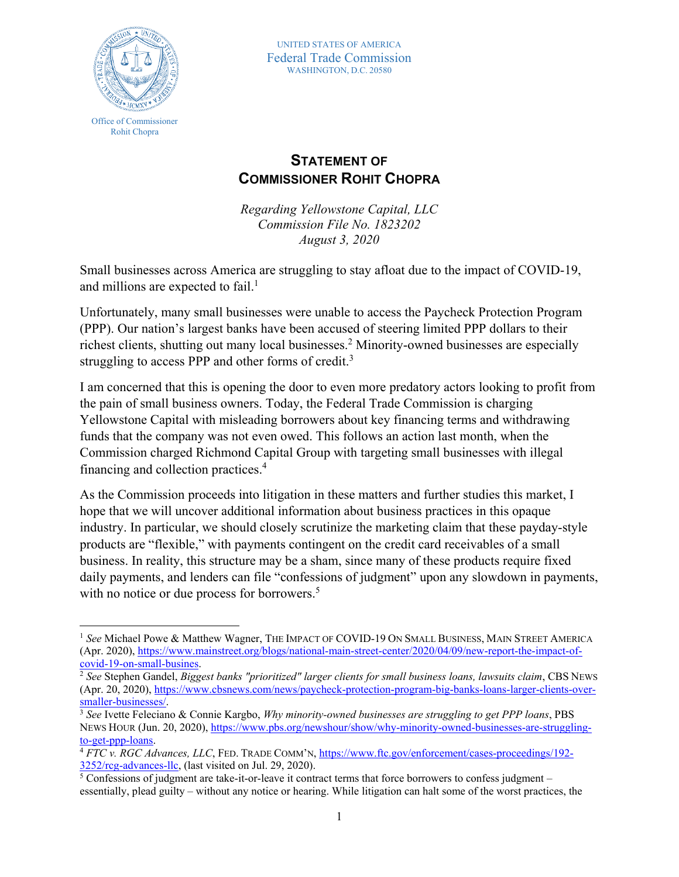

 $\overline{a}$ 

UNITED STATES OF AMERICA Federal Trade Commission WASHINGTON, D.C. 20580

## **STATEMENT OF COMMISSIONER ROHIT CHOPRA**

*Regarding Yellowstone Capital, LLC Commission File No. 1823202 August 3, 2020*

Small businesses across America are struggling to stay afloat due to the impact of COVID-19, and millions are expected to fail.<sup>1</sup>

Unfortunately, many small businesses were unable to access the Paycheck Protection Program (PPP). Our nation's largest banks have been accused of steering limited PPP dollars to their richest clients, shutting out many local businesses.<sup>2</sup> Minority-owned businesses are especially struggling to access PPP and other forms of credit.<sup>3</sup>

I am concerned that this is opening the door to even more predatory actors looking to profit from the pain of small business owners. Today, the Federal Trade Commission is charging Yellowstone Capital with misleading borrowers about key financing terms and withdrawing funds that the company was not even owed. This follows an action last month, when the Commission charged Richmond Capital Group with targeting small businesses with illegal financing and collection practices. 4

As the Commission proceeds into litigation in these matters and further studies this market, I hope that we will uncover additional information about business practices in this opaque industry. In particular, we should closely scrutinize the marketing claim that these payday-style products are "flexible," with payments contingent on the credit card receivables of a small business. In reality, this structure may be a sham, since many of these products require fixed daily payments, and lenders can file "confessions of judgment" upon any slowdown in payments, with no notice or due process for borrowers.<sup>5</sup>

<sup>1</sup> *See* Michael Powe & Matthew Wagner, THE IMPACT OF COVID-19 ON SMALL BUSINESS, MAIN STREET AMERICA (Apr. 2020), [https://www.mainstreet.org/blogs/national-main-street-center/2020/04/09/new-report-the-impact-of](https://www.mainstreet.org/blogs/national-main-street-center/2020/04/09/new-report-the-impact-of-covid-19-on-small-busines)[covid-19-on-small-busines.](https://www.mainstreet.org/blogs/national-main-street-center/2020/04/09/new-report-the-impact-of-covid-19-on-small-busines)

<sup>2</sup> *See* Stephen Gandel, *Biggest banks "prioritized" larger clients for small business loans, lawsuits claim*, CBS NEWS (Apr. 20, 2020), [https://www.cbsnews.com/news/paycheck-protection-program-big-banks-loans-larger-clients-over](https://www.cbsnews.com/news/paycheck-protection-program-big-banks-loans-larger-clients-over-smaller-businesses/)[smaller-businesses/.](https://www.cbsnews.com/news/paycheck-protection-program-big-banks-loans-larger-clients-over-smaller-businesses/)

<sup>3</sup> *See* Ivette Feleciano & Connie Kargbo, *Why minority-owned businesses are struggling to get PPP loans*, PBS NEWS HOUR (Jun. 20, 2020), [https://www.pbs.org/newshour/show/why-minority-owned-businesses-are-struggling](https://www.pbs.org/newshour/show/why-minority-owned-businesses-are-struggling-to-get-ppp-loans)[to-get-ppp-loans.](https://www.pbs.org/newshour/show/why-minority-owned-businesses-are-struggling-to-get-ppp-loans)

<sup>4</sup> *FTC v. RGC Advances, LLC*, FED. TRADE COMM'N, [https://www.ftc.gov/enforcement/cases-proceedings/192-](https://www.ftc.gov/enforcement/cases-proceedings/192-3252/rcg-advances-llc) [3252/rcg-advances-llc,](https://www.ftc.gov/enforcement/cases-proceedings/192-3252/rcg-advances-llc) (last visited on Jul. 29, 2020).

 $5$  Confessions of judgment are take-it-or-leave it contract terms that force borrowers to confess judgment – essentially, plead guilty – without any notice or hearing. While litigation can halt some of the worst practices, the